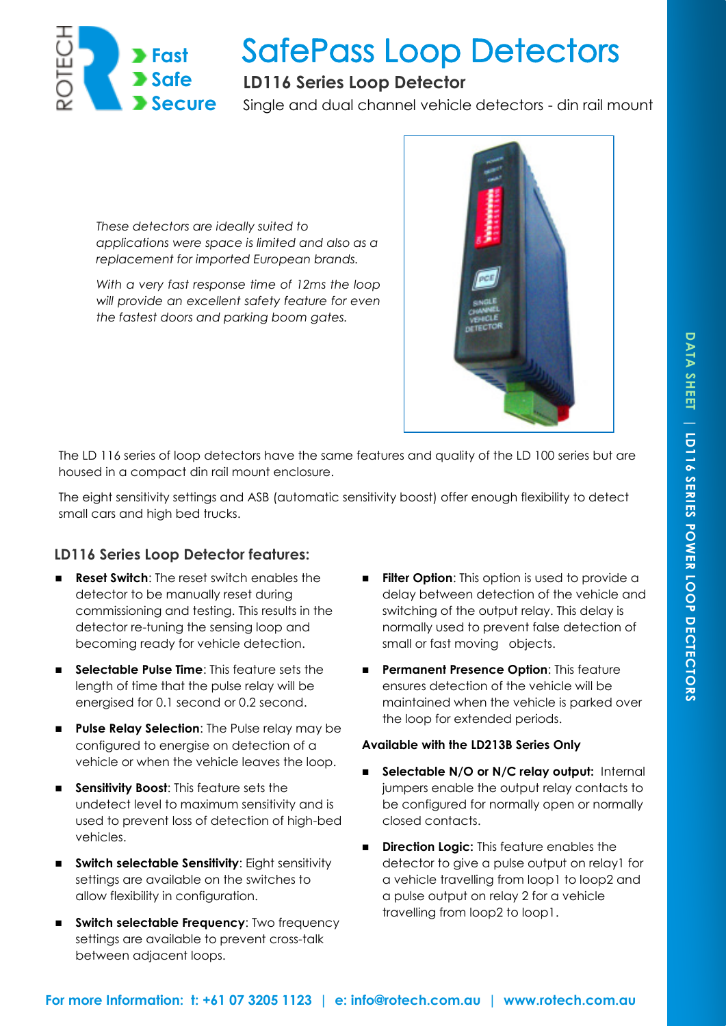

# **SafePass Loop Detectors**

## **LD116 Series Loop Detector**

Single and dual channel vehicle detectors - din rail mount

*These detectors are ideally suited to applications were space is limited and also as a replacement for imported European brands.* 

*With a very fast response time of 12ms the loop will provide an excellent safety feature for even the fastest doors and parking boom gates.*



The LD 116 series of loop detectors have the same features and quality of the LD 100 series but are housed in a compact din rail mount enclosure.

The eight sensitivity settings and ASB (automatic sensitivity boost) offer enough flexibility to detect small cars and high bed trucks.

### **LD116 Series Loop Detector features:**

- **Reset Switch**: The reset switch enables the detector to be manually reset during commissioning and testing. This results in the detector re-tuning the sensing loop and becoming ready for vehicle detection.
- **Selectable Pulse Time:** This feature sets the length of time that the pulse relay will be energised for 0.1 second or 0.2 second.
- **Pulse Relay Selection:** The Pulse relay may be configured to energise on detection of a vehicle or when the vehicle leaves the loop.
- **Sensitivity Boost:** This feature sets the undetect level to maximum sensitivity and is used to prevent loss of detection of high-bed vehicles.
- **Switch selectable Sensitivity:** Eight sensitivity settings are available on the switches to allow flexibility in configuration.
- **Switch selectable Frequency:** Two frequency settings are available to prevent cross-talk between adjacent loops.
- **Filter Option:** This option is used to provide a delay between detection of the vehicle and switching of the output relay. This delay is normally used to prevent false detection of small or fast moving objects.
- **Permanent Presence Option: This feature** ensures detection of the vehicle will be maintained when the vehicle is parked over the loop for extended periods.

#### **Available with the LD213B Series Only**

- **Selectable N/O or N/C relay output: Internal** jumpers enable the output relay contacts to be configured for normally open or normally closed contacts.
- **Direction Logic:** This feature enables the detector to give a pulse output on relay1 for a vehicle travelling from loop1 to loop2 and a pulse output on relay 2 for a vehicle travelling from loop2 to loop1.